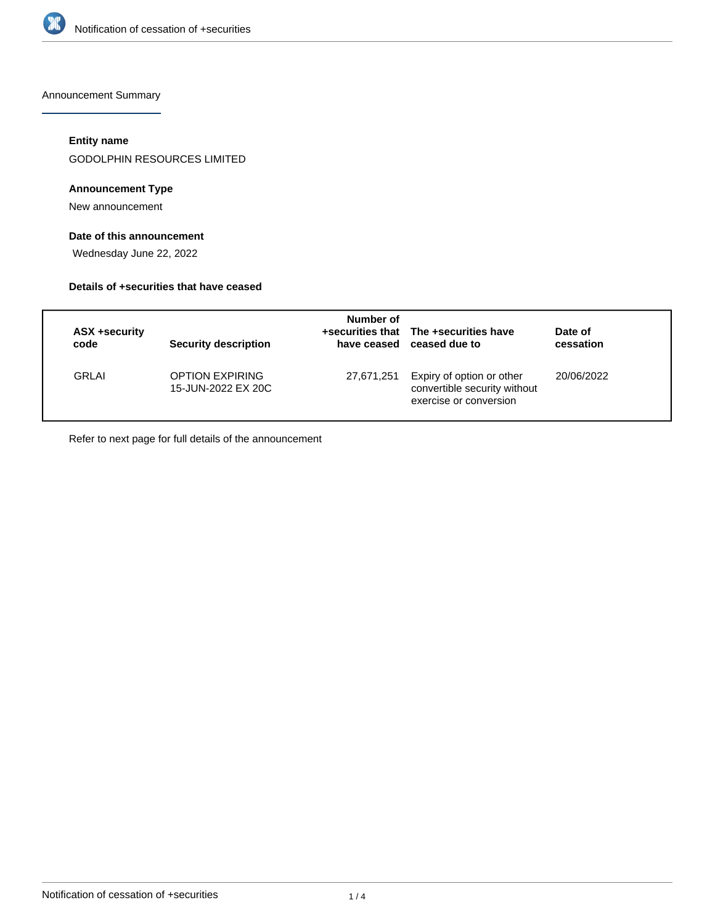

Announcement Summary

# **Entity name**

GODOLPHIN RESOURCES LIMITED

# **Announcement Type**

New announcement

# **Date of this announcement**

Wednesday June 22, 2022

#### **Details of +securities that have ceased**

| code         | ASX +security | <b>Security description</b>                  | Number of  | +securities that The +securities have<br>have ceased ceased due to                  | Date of<br>cessation |
|--------------|---------------|----------------------------------------------|------------|-------------------------------------------------------------------------------------|----------------------|
| <b>GRLAI</b> |               | <b>OPTION EXPIRING</b><br>15-JUN-2022 EX 20C | 27,671,251 | Expiry of option or other<br>convertible security without<br>exercise or conversion | 20/06/2022           |

Refer to next page for full details of the announcement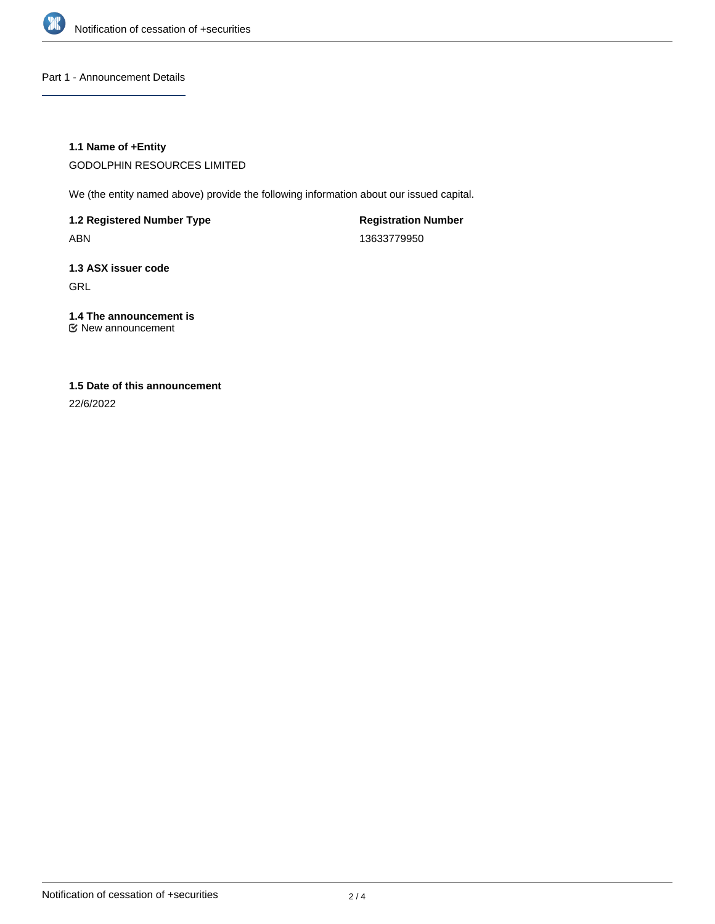

Part 1 - Announcement Details

# **1.1 Name of +Entity**

GODOLPHIN RESOURCES LIMITED

We (the entity named above) provide the following information about our issued capital.

**1.2 Registered Number Type** ABN

**Registration Number** 13633779950

**1.3 ASX issuer code** GRL

**1.4 The announcement is** New announcement

# **1.5 Date of this announcement**

22/6/2022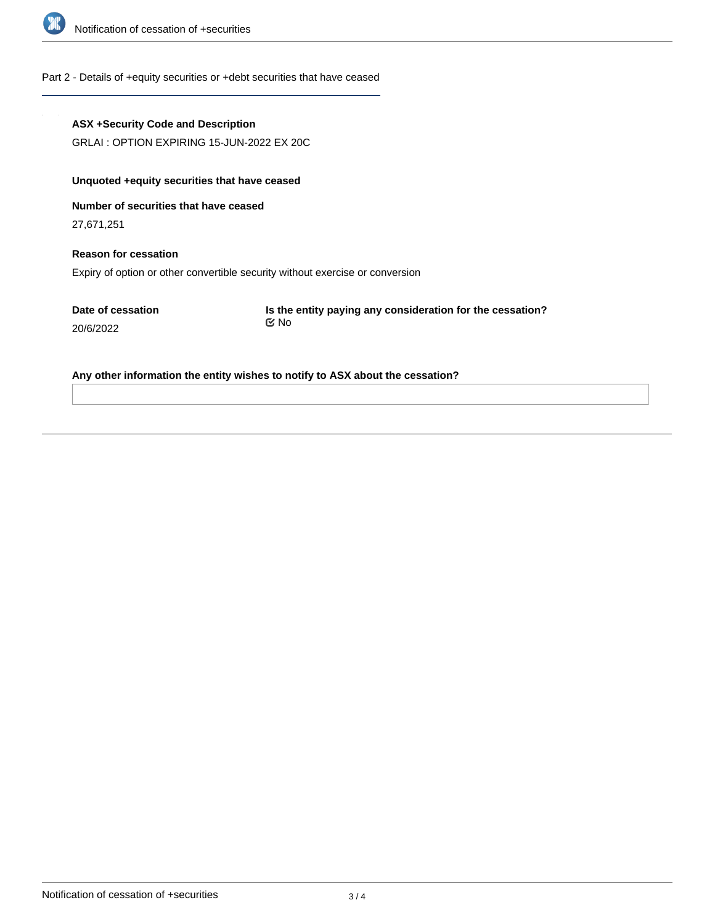

#### Part 2 - Details of +equity securities or +debt securities that have ceased

#### **ASX +Security Code and Description**

GRLAI : OPTION EXPIRING 15-JUN-2022 EX 20C

# **Unquoted +equity securities that have ceased**

**Number of securities that have ceased**

27,671,251

# **Reason for cessation** Expiry of option or other convertible security without exercise or conversion

**Date of cessation** 20/6/2022

**Is the entity paying any consideration for the cessation?** No

#### **Any other information the entity wishes to notify to ASX about the cessation?**